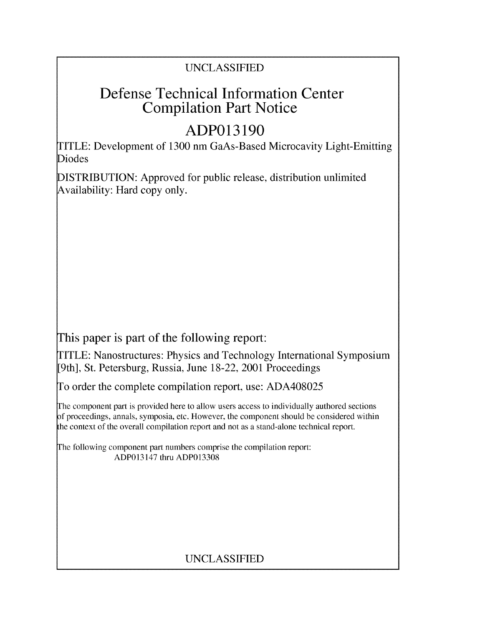# UNCLASSIFIED

# Defense Technical Information Center Compilation Part Notice

# **ADP013190**

TITLE: Development of 1300 nm GaAs-Based Microcavity Light-Emitting Diodes

DISTRIBUTION: Approved for public release, distribution unlimited Availability: Hard copy only.

This paper is part of the following report:

TITLE: Nanostructures: Physics and Technology International Symposium [9th], St. Petersburg, Russia, June 18-22, 2001 Proceedings

To order the complete compilation report, use: ADA408025

The component part is provided here to allow users access to individually authored sections f proceedings, annals, symposia, etc. However, the component should be considered within the context of the overall compilation report and not as a stand-alone technical report.

The following component part numbers comprise the compilation report: ADP013147 thru ADP013308

# UNCLASSIFIED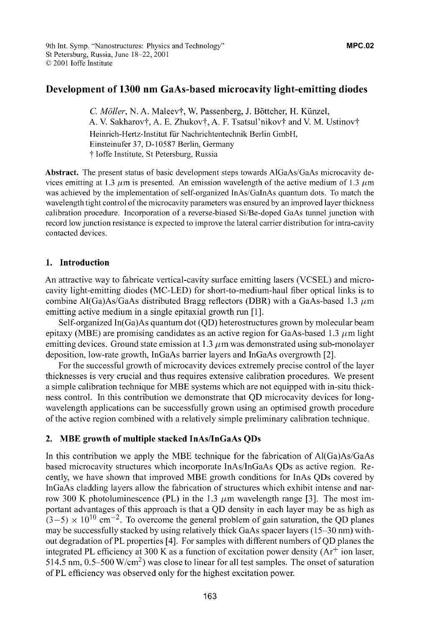## Development of **1300** nm GaAs-based microcavity light-emitting diodes

C. Möller, N. A. Maleev†, W. Passenberg, J. Böttcher, H. Künzel, A. V. Sakharov†, A. E. Zhukov†, A. F. Tsatsul'nikov† and V. M. Ustinov† Heinrich-Hertz-Institut fuir Nachrichtentechnik Berlin GmbH, Einsteinufer 37, D-10587 Berlin, Germany t loffe Institute, St Petersburg, Russia

Abstract. The present status of basic development steps towards AlGaAs/GaAs microcavity devices emitting at 1.3  $\mu$ m is presented. An emission wavelength of the active medium of 1.3  $\mu$ m was achieved by the implementation of self-organized InAs/GaInAs quantum dots. To match the wavelength tight control of the microcavity parameters was ensured by an improved layer thickness calibration procedure. Incorporation of a reverse-biased Si/Be-doped GaAs tunnel junction with record low junction resistance is expected to improve the lateral carrier distribution for intra-cavity contacted devices.

## **1.** Introduction

An attractive way to fabricate vertical-cavity surface emitting lasers (VCSEL) and microcavity light-emitting diodes (MC-LED) for short-to-medium-haul fiber optical links is to combine Al(Ga)As/GaAs distributed Bragg reflectors (DBR) with a GaAs-based 1.3  $\mu$ m emitting active medium in a single epitaxial growth run **[1 ].**

Self-organized In(Ga)As quantum dot **(QD)** heterostructures grown by molecular beam epitaxy (MBE) are promising candidates as an active region for GaAs-based 1.3  $\mu$ m light emitting devices. Ground state emission at 1.3  $\mu$ m was demonstrated using sub-monolayer deposition, low-rate growth, InGaAs barrier layers and InGaAs overgrowth [2].

For the successful growth of microcavity devices extremely precise control of the layer thicknesses is very crucial and thus requires extensive calibration procedures. We present a simple calibration technique for MBE systems which are not equipped with in-situ thickness control. In this contribution we demonstrate that **QD** microcavity devices for longwavelength applications can be successfully grown using an optimised growth procedure of the active region combined with a relatively simple preliminary calibration technique.

### 2. MBE growth of multiple stacked InAs/InGaAs QDs

In this contribution we apply the MBE technique for the fabrication of  $Al(Ga)As/GaAs$ based microcavity structures which incorporate InAs/InGaAs QDs as active region. Recently, we have shown that improved MBE growth conditions for InAs QDs covered by InGaAs cladding layers allow the fabrication of structures which exhibit intense and narrow 300 K photoluminescence (PL) in the 1.3  $\mu$ m wavelength range [3]. The most important advantages of this approach is that a **QD** density in each layer may be as high as  $(3-5) \times 10^{10}$  cm<sup>-2</sup>. To overcome the general problem of gain saturation, the QD planes may be successfully stacked by using relatively thick GaAs spacer layers (15-30 nm) without degradation of PL properties [4]. For samples with different numbers of **QD** planes the integrated PL efficiency at 300 K as a function of excitation power density  $(Ar^+)$  ion laser, 514.5 nm,  $0.5-500$  W/cm<sup>2</sup>) was close to linear for all test samples. The onset of saturation of PL efficiency was observed only for the highest excitation power.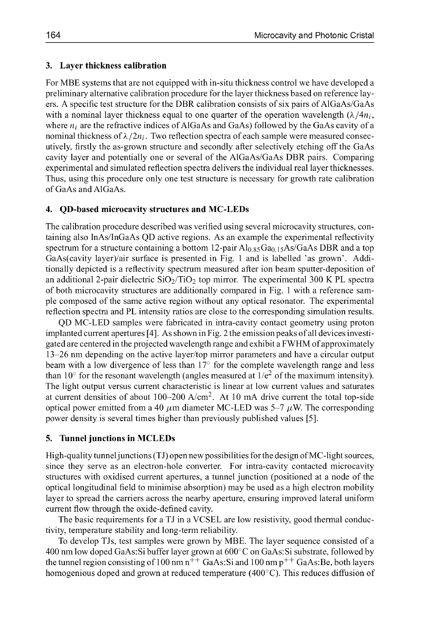#### **3.** Layer thickness calibration

For MBE systems that are not equipped with in-situ thickness control we have developed a preliminary alternative calibration procedure for the layer thickness based on reference layers. A specific test structure for the DBR calibration consists of six pairs of AlGaAs/GaAs with a nominal layer thickness equal to one quarter of the operation wavelength  $(\lambda/4n_i)$ , where  $n_i$  are the refractive indices of AlGaAs and GaAs) followed by the GaAs cavity of a nominal thickness of  $\lambda/2n_i$ . Two reflection spectra of each sample were measured consecutively, firstly the as-grown structure and secondly after selectively etching off the GaAs cavity layer and potentially one or several of the AlGaAs/GaAs DBR pairs. Comparing experimental and simulated reflection spectra delivers the individual real layer thicknesses. Thus, using this procedure only one test structure is necessary for growth rate calibration of GaAs and AlGaAs.

#### 4. QD-based microcavity structures and MC-LEDs

The calibration procedure described was verified using several microcavity structures, containing also InAs/InGaAs **QD** active regions. As an example the experimental reflectivity spectrum for a structure containing a bottom  $12$ -pair  $Al<sub>0.85</sub> Ga<sub>0.15</sub>As/GaAs DBR$  and a top GaAs(cavity layer)/air surface is presented in Fig. 1 and is labelled 'as grown'. Additionally depicted is a reflectivity spectrum measured after ion beam sputter-deposition of an additional 2-pair dielectric  $SiO_2/TiO_2$  top mirror. The experimental 300 K PL spectra of both microcavity structures are additionally compared in Fig. 1 with a reference sample composed of the same active region without any optical resonator. The experimental reflection spectra and PL intensity ratios are close to the corresponding simulation results.

**QD** MC-LED samples were fabricated in intra-cavity contact geometry using proton implanted current apertures [4]. As shown in Fig. 2 the emission peaks of all devices investigated are centered in the projected wavelength range and exhibit a FWHM of approximately 13-26 nm depending on the active layer/top mirror parameters and have a circular output beam with a low divergence of less than **17'** for the complete wavelength range and less than 10 $\degree$  for the resonant wavelength (angles measured at 1/ $e^2$  of the maximum intensity). The light output versus current characteristic is linear at low current values and saturates at current densities of about  $100-200$  A/cm<sup>2</sup>. At 10 mA drive current the total top-side optical power emitted from a 40  $\mu$ m diameter MC-LED was 5-7  $\mu$ W. The corresponding power density is several times higher than previously published values **[5].**

### 5. Tunnel junctions in MCLEDs

High-quality tunnelj unctions **(TJ)** open new possibilities for the design of MC-light sources, since they serve as an electron-hole converter. For intra-cavity contacted microcavity structures with oxidised current apertures, a tunnel junction (positioned at a node of the optical longitudinal field to minimise absorption) may be used as a high electron mobility layer to spread the carriers across the nearby aperture, ensuring improved lateral uniform current flow through the oxide-defined cavity.

The basic requirements for a **TJ** in a VCSEL are low resistivity, good thermal conductivity, temperature stability and long-term reliability.

To develop TUs, test samples were grown by MBE. The layer sequence consisted of a 400 nm low doped GaAs: Si buffer layer grown at  $600^{\circ}$ C on GaAs: Si substrate, followed by the tunnel region consisting of 100 nm  $n^{++}$  GaAs: Si and 100 nm  $p^{++}$  GaAs: Be, both layers homogenious doped and grown at reduced temperature  $(400^{\circ}$ C). This reduces diffusion of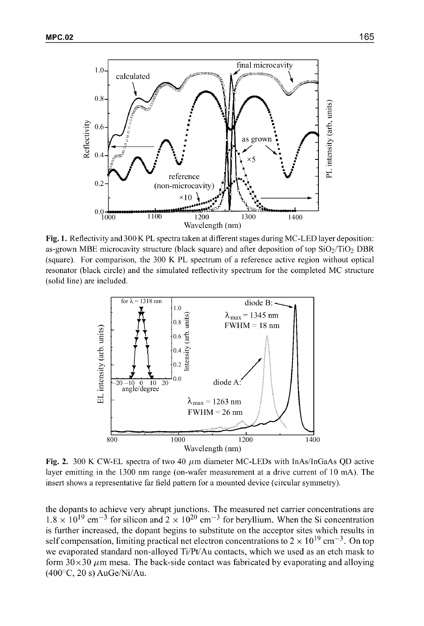

Fig. **1.** Reflectivity and 300 K PL spectra taken at different stages during MC-LED layer deposition: as-grown MBE microcavity structure (black square) and after deposition of top  $SiO<sub>2</sub>/TiO<sub>2</sub> DBR$ (square). For comparison, the 300 K PL spectrum of a reference active region without optical resonator (black circle) and the simulated reflectivity spectrum for the completed MC structure (solid line) are included.



Fig. 2. 300 K CW-EL spectra of two 40  $\mu$ m diameter MC-LEDs with InAs/InGaAs QD active layer emitting in the 1300 nm range (on-wafer measurement at a drive current of 10 mA). The insert shows a representative far field pattern for a mounted device (circular symmetry).

the dopants to achieve very abrupt junctions. The measured net carrier concentrations are  $1.8 \times 10^{19}$  cm<sup>-3</sup> for silicon and  $2 \times 10^{20}$  cm<sup>-3</sup> for beryllium. When the Si concentration is further increased, the dopant begins to substitute on the acceptor sites which results in self compensation, limiting practical net electron concentrations to  $2 \times 10^{19}$  cm<sup>-3</sup>. On top we evaporated standard non-alloyed Ti/Pt/Au contacts, which we used as an etch mask to form  $30 \times 30 \mu$ m mesa. The back-side contact was fabricated by evaporating and alloying  $(400^{\circ}C, 20 s)$  AuGe/Ni/Au.